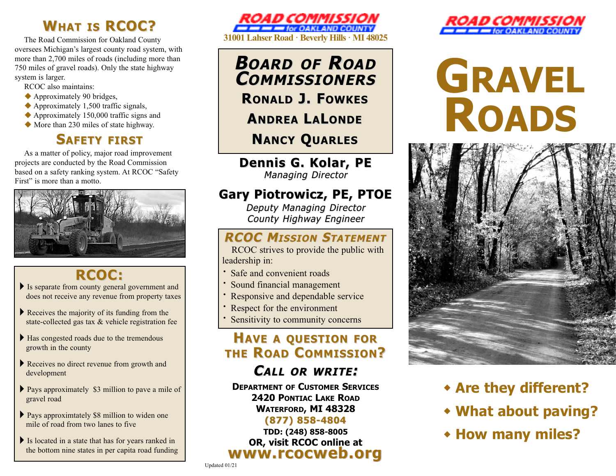## **WHAT IS RCOC?**

The Road Commission for Oakland County oversees Michigan's largest county road system, with more than 2,700 miles of roads (including more than 750 miles of gravel roads). Only the state highway system is larger.

RCOC also maintains:

- $\blacklozenge$  Approximately 90 bridges,
- $\triangle$  Approximately 1,500 traffic signals,
- $\triangle$  Approximately 150,000 traffic signs and
- $\blacklozenge$  More than 230 miles of state highway.

## **SAFETY FIRST**

As a matter of policy, major road improvement projects are conducted by the Road Commission based on a safety ranking system. At RCOC "Safety First" is more than a motto.



## **RCOC:**

- 4Is separate from county general government and does not receive any revenue from property taxes
- $\blacktriangleright$  Receives the majority of its funding from the state-collected gas tax & vehicle registration fee
- ▶ Has congested roads due to the tremendous growth in the county
- Receives no direct revenue from growth and development
- ▶ Pays approximately \$3 million to pave a mile of gravel road
- ▶ Pays approximtately \$8 million to widen one mile of road from two lanes to five
- Is located in a state that has for years ranked in the bottom nine states in per capita road funding



**BOARD OF ROAD COMMISSIONERS OMMISSIONERS RONALD J. FOWKES**

**ANDREA L A LONDE**

**NANCY QUARLES**

**Dennis G. Kolar, PE Dennis G. Kolar, PE Managing Director** 

## **Gary Piotrowicz, PE, PTOE Gary Piotrowicz, PE, PTOE**

Deputy Managing Director County Highway Engineer

## **RCOC MISSION STATEMENT**

RCOC strives to provide the public with leadership in:

- **Safe and convenient roads**
- **·** Sound financial management
- Responsive and dependable service
- **·**Respect for the environment
- **·**Sensitivity to community concerns

## **HAVE A QUESTION FOR THE ROAD COMMISSION?**

## **CALL OR WRITE :**

**DEPARTMENT OF CUSTOMER SERVICES 2420 PONTIAC LAKE ROAD WATERFORD, MI 48328** 

### **(877) 858-4804 (877) 858-4804**

**TDD: (248) 858-8005 OR, visit RCOC online at www.rcocweb.org www.rcocweb.org**



# **GRAVEL ROADS**



- **\* Are they different?**
- <sup>w</sup> **What about paving?**
- <sup>w</sup> **How many miles?**